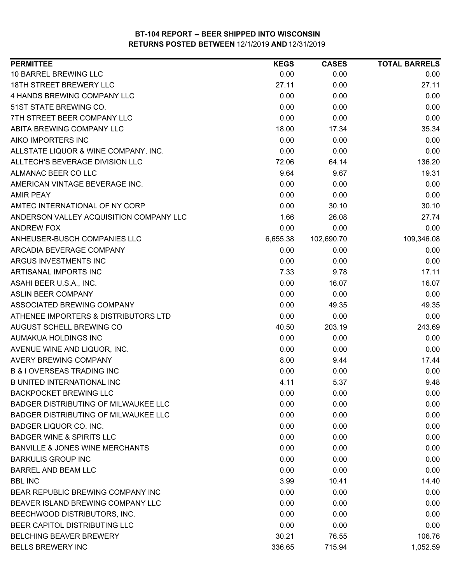| <b>PERMITTEE</b>                            | <b>KEGS</b> | <b>CASES</b> | <b>TOTAL BARRELS</b> |
|---------------------------------------------|-------------|--------------|----------------------|
| 10 BARREL BREWING LLC                       | 0.00        | 0.00         | 0.00                 |
| 18TH STREET BREWERY LLC                     | 27.11       | 0.00         | 27.11                |
| 4 HANDS BREWING COMPANY LLC                 | 0.00        | 0.00         | 0.00                 |
| 51ST STATE BREWING CO.                      | 0.00        | 0.00         | 0.00                 |
| 7TH STREET BEER COMPANY LLC                 | 0.00        | 0.00         | 0.00                 |
| ABITA BREWING COMPANY LLC                   | 18.00       | 17.34        | 35.34                |
| AIKO IMPORTERS INC                          | 0.00        | 0.00         | 0.00                 |
| ALLSTATE LIQUOR & WINE COMPANY, INC.        | 0.00        | 0.00         | 0.00                 |
| ALLTECH'S BEVERAGE DIVISION LLC             | 72.06       | 64.14        | 136.20               |
| ALMANAC BEER CO LLC                         | 9.64        | 9.67         | 19.31                |
| AMERICAN VINTAGE BEVERAGE INC.              | 0.00        | 0.00         | 0.00                 |
| <b>AMIR PEAY</b>                            | 0.00        | 0.00         | 0.00                 |
| AMTEC INTERNATIONAL OF NY CORP              | 0.00        | 30.10        | 30.10                |
| ANDERSON VALLEY ACQUISITION COMPANY LLC     | 1.66        | 26.08        | 27.74                |
| <b>ANDREW FOX</b>                           | 0.00        | 0.00         | 0.00                 |
| ANHEUSER-BUSCH COMPANIES LLC                | 6,655.38    | 102,690.70   | 109,346.08           |
| ARCADIA BEVERAGE COMPANY                    | 0.00        | 0.00         | 0.00                 |
| ARGUS INVESTMENTS INC                       | 0.00        | 0.00         | 0.00                 |
| ARTISANAL IMPORTS INC                       | 7.33        | 9.78         | 17.11                |
| ASAHI BEER U.S.A., INC.                     | 0.00        | 16.07        | 16.07                |
| ASLIN BEER COMPANY                          | 0.00        | 0.00         | 0.00                 |
| ASSOCIATED BREWING COMPANY                  | 0.00        | 49.35        | 49.35                |
| ATHENEE IMPORTERS & DISTRIBUTORS LTD        | 0.00        | 0.00         | 0.00                 |
| AUGUST SCHELL BREWING CO                    | 40.50       | 203.19       | 243.69               |
| AUMAKUA HOLDINGS INC                        | 0.00        | 0.00         | 0.00                 |
| AVENUE WINE AND LIQUOR, INC.                | 0.00        | 0.00         | 0.00                 |
| <b>AVERY BREWING COMPANY</b>                | 8.00        | 9.44         | 17.44                |
| <b>B &amp; I OVERSEAS TRADING INC</b>       | 0.00        | 0.00         | 0.00                 |
| <b>B UNITED INTERNATIONAL INC</b>           | 4.11        | 5.37         | 9.48                 |
| <b>BACKPOCKET BREWING LLC</b>               | 0.00        | 0.00         | 0.00                 |
| <b>BADGER DISTRIBUTING OF MILWAUKEE LLC</b> | 0.00        | 0.00         | 0.00                 |
| <b>BADGER DISTRIBUTING OF MILWAUKEE LLC</b> | 0.00        | 0.00         | 0.00                 |
| BADGER LIQUOR CO. INC.                      | 0.00        | 0.00         | 0.00                 |
| <b>BADGER WINE &amp; SPIRITS LLC</b>        | 0.00        | 0.00         | 0.00                 |
| <b>BANVILLE &amp; JONES WINE MERCHANTS</b>  | 0.00        | 0.00         | 0.00                 |
| <b>BARKULIS GROUP INC</b>                   | 0.00        | 0.00         | 0.00                 |
| <b>BARREL AND BEAM LLC</b>                  | 0.00        | 0.00         | 0.00                 |
| <b>BBL INC</b>                              | 3.99        | 10.41        | 14.40                |
| BEAR REPUBLIC BREWING COMPANY INC           | 0.00        | 0.00         | 0.00                 |
| BEAVER ISLAND BREWING COMPANY LLC           | 0.00        | 0.00         | 0.00                 |
| BEECHWOOD DISTRIBUTORS, INC.                | 0.00        | 0.00         | 0.00                 |
| BEER CAPITOL DISTRIBUTING LLC               | 0.00        | 0.00         | 0.00                 |
| <b>BELCHING BEAVER BREWERY</b>              | 30.21       | 76.55        | 106.76               |
| <b>BELLS BREWERY INC</b>                    | 336.65      | 715.94       | 1,052.59             |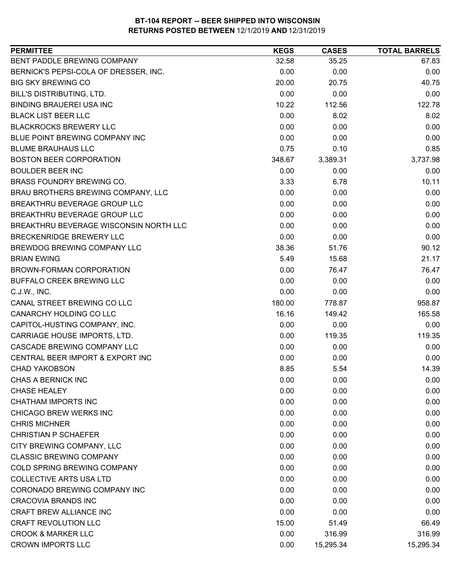| BENT PADDLE BREWING COMPANY<br>32.58<br>35.25<br>67.83<br>BERNICK'S PEPSI-COLA OF DRESSER, INC.<br>0.00<br>0.00<br>0.00<br><b>BIG SKY BREWING CO</b><br>20.00<br>20.75<br>40.75<br>0.00<br><b>BILL'S DISTRIBUTING, LTD.</b><br>0.00<br>0.00<br><b>BINDING BRAUEREI USA INC</b><br>10.22<br>112.56<br>122.78<br><b>BLACK LIST BEER LLC</b><br>0.00<br>8.02<br>8.02<br>0.00<br><b>BLACKROCKS BREWERY LLC</b><br>0.00<br>0.00<br>0.00<br>BLUE POINT BREWING COMPANY INC<br>0.00<br>0.00<br><b>BLUME BRAUHAUS LLC</b><br>0.75<br>0.10<br>0.85<br><b>BOSTON BEER CORPORATION</b><br>3,389.31<br>3,737.98<br>348.67<br><b>BOULDER BEER INC</b><br>0.00<br>0.00<br>0.00<br><b>BRASS FOUNDRY BREWING CO.</b><br>3.33<br>6.78<br>10.11<br>0.00<br>0.00<br>BRAU BROTHERS BREWING COMPANY, LLC<br>0.00<br>BREAKTHRU BEVERAGE GROUP LLC<br>0.00<br>0.00<br>0.00<br>BREAKTHRU BEVERAGE GROUP LLC<br>0.00<br>0.00<br>0.00<br>BREAKTHRU BEVERAGE WISCONSIN NORTH LLC<br>0.00<br>0.00<br>0.00<br>0.00<br>0.00<br><b>BRECKENRIDGE BREWERY LLC</b><br>0.00<br>BREWDOG BREWING COMPANY LLC<br>38.36<br>90.12<br>51.76<br><b>BRIAN EWING</b><br>5.49<br>21.17<br>15.68<br>0.00<br>76.47<br>76.47<br>BROWN-FORMAN CORPORATION<br>0.00<br>0.00<br>BUFFALO CREEK BREWING LLC<br>0.00<br>0.00<br>0.00<br>C.J.W., INC.<br>0.00<br>CANAL STREET BREWING CO LLC<br>180.00<br>778.87<br>958.87<br>CANARCHY HOLDING CO LLC<br>16.16<br>149.42<br>165.58<br>0.00<br>0.00<br>0.00<br>CAPITOL-HUSTING COMPANY, INC.<br>CARRIAGE HOUSE IMPORTS, LTD.<br>0.00<br>119.35<br>119.35<br>CASCADE BREWING COMPANY LLC<br>0.00<br>0.00<br>0.00<br>CENTRAL BEER IMPORT & EXPORT INC<br>0.00<br>0.00<br>0.00<br>8.85<br>5.54<br>14.39<br><b>CHAD YAKOBSON</b><br>CHAS A BERNICK INC<br>0.00<br>0.00<br>0.00<br>0.00<br>0.00<br>0.00<br><b>CHASE HEALEY</b><br><b>CHATHAM IMPORTS INC</b><br>0.00<br>0.00<br>0.00<br>CHICAGO BREW WERKS INC<br>0.00<br>0.00<br>0.00<br><b>CHRIS MICHNER</b><br>0.00<br>0.00<br>0.00<br>0.00<br><b>CHRISTIAN P SCHAEFER</b><br>0.00<br>0.00<br>CITY BREWING COMPANY, LLC<br>0.00<br>0.00<br>0.00<br><b>CLASSIC BREWING COMPANY</b><br>0.00<br>0.00<br>0.00<br><b>COLD SPRING BREWING COMPANY</b><br>0.00<br>0.00<br>0.00<br><b>COLLECTIVE ARTS USA LTD</b><br>0.00<br>0.00<br>0.00<br>CORONADO BREWING COMPANY INC<br>0.00<br>0.00<br>0.00<br><b>CRACOVIA BRANDS INC</b><br>0.00<br>0.00<br>0.00<br><b>CRAFT BREW ALLIANCE INC</b><br>0.00<br>0.00<br>0.00<br><b>CRAFT REVOLUTION LLC</b><br>15.00<br>51.49<br>66.49<br><b>CROOK &amp; MARKER LLC</b><br>316.99<br>0.00<br>316.99 | <b>PERMITTEE</b>         | <b>KEGS</b> | <b>CASES</b> | <b>TOTAL BARRELS</b> |
|-----------------------------------------------------------------------------------------------------------------------------------------------------------------------------------------------------------------------------------------------------------------------------------------------------------------------------------------------------------------------------------------------------------------------------------------------------------------------------------------------------------------------------------------------------------------------------------------------------------------------------------------------------------------------------------------------------------------------------------------------------------------------------------------------------------------------------------------------------------------------------------------------------------------------------------------------------------------------------------------------------------------------------------------------------------------------------------------------------------------------------------------------------------------------------------------------------------------------------------------------------------------------------------------------------------------------------------------------------------------------------------------------------------------------------------------------------------------------------------------------------------------------------------------------------------------------------------------------------------------------------------------------------------------------------------------------------------------------------------------------------------------------------------------------------------------------------------------------------------------------------------------------------------------------------------------------------------------------------------------------------------------------------------------------------------------------------------------------------------------------------------------------------------------------------------------------------------------------------------------------------------------------------------------------------------------------------------------------------------------------------------------------------------------------------------------------------------------------------------------------------------------------------------------------------------------------|--------------------------|-------------|--------------|----------------------|
|                                                                                                                                                                                                                                                                                                                                                                                                                                                                                                                                                                                                                                                                                                                                                                                                                                                                                                                                                                                                                                                                                                                                                                                                                                                                                                                                                                                                                                                                                                                                                                                                                                                                                                                                                                                                                                                                                                                                                                                                                                                                                                                                                                                                                                                                                                                                                                                                                                                                                                                                                                       |                          |             |              |                      |
|                                                                                                                                                                                                                                                                                                                                                                                                                                                                                                                                                                                                                                                                                                                                                                                                                                                                                                                                                                                                                                                                                                                                                                                                                                                                                                                                                                                                                                                                                                                                                                                                                                                                                                                                                                                                                                                                                                                                                                                                                                                                                                                                                                                                                                                                                                                                                                                                                                                                                                                                                                       |                          |             |              |                      |
|                                                                                                                                                                                                                                                                                                                                                                                                                                                                                                                                                                                                                                                                                                                                                                                                                                                                                                                                                                                                                                                                                                                                                                                                                                                                                                                                                                                                                                                                                                                                                                                                                                                                                                                                                                                                                                                                                                                                                                                                                                                                                                                                                                                                                                                                                                                                                                                                                                                                                                                                                                       |                          |             |              |                      |
|                                                                                                                                                                                                                                                                                                                                                                                                                                                                                                                                                                                                                                                                                                                                                                                                                                                                                                                                                                                                                                                                                                                                                                                                                                                                                                                                                                                                                                                                                                                                                                                                                                                                                                                                                                                                                                                                                                                                                                                                                                                                                                                                                                                                                                                                                                                                                                                                                                                                                                                                                                       |                          |             |              |                      |
|                                                                                                                                                                                                                                                                                                                                                                                                                                                                                                                                                                                                                                                                                                                                                                                                                                                                                                                                                                                                                                                                                                                                                                                                                                                                                                                                                                                                                                                                                                                                                                                                                                                                                                                                                                                                                                                                                                                                                                                                                                                                                                                                                                                                                                                                                                                                                                                                                                                                                                                                                                       |                          |             |              |                      |
|                                                                                                                                                                                                                                                                                                                                                                                                                                                                                                                                                                                                                                                                                                                                                                                                                                                                                                                                                                                                                                                                                                                                                                                                                                                                                                                                                                                                                                                                                                                                                                                                                                                                                                                                                                                                                                                                                                                                                                                                                                                                                                                                                                                                                                                                                                                                                                                                                                                                                                                                                                       |                          |             |              |                      |
|                                                                                                                                                                                                                                                                                                                                                                                                                                                                                                                                                                                                                                                                                                                                                                                                                                                                                                                                                                                                                                                                                                                                                                                                                                                                                                                                                                                                                                                                                                                                                                                                                                                                                                                                                                                                                                                                                                                                                                                                                                                                                                                                                                                                                                                                                                                                                                                                                                                                                                                                                                       |                          |             |              |                      |
|                                                                                                                                                                                                                                                                                                                                                                                                                                                                                                                                                                                                                                                                                                                                                                                                                                                                                                                                                                                                                                                                                                                                                                                                                                                                                                                                                                                                                                                                                                                                                                                                                                                                                                                                                                                                                                                                                                                                                                                                                                                                                                                                                                                                                                                                                                                                                                                                                                                                                                                                                                       |                          |             |              |                      |
|                                                                                                                                                                                                                                                                                                                                                                                                                                                                                                                                                                                                                                                                                                                                                                                                                                                                                                                                                                                                                                                                                                                                                                                                                                                                                                                                                                                                                                                                                                                                                                                                                                                                                                                                                                                                                                                                                                                                                                                                                                                                                                                                                                                                                                                                                                                                                                                                                                                                                                                                                                       |                          |             |              |                      |
|                                                                                                                                                                                                                                                                                                                                                                                                                                                                                                                                                                                                                                                                                                                                                                                                                                                                                                                                                                                                                                                                                                                                                                                                                                                                                                                                                                                                                                                                                                                                                                                                                                                                                                                                                                                                                                                                                                                                                                                                                                                                                                                                                                                                                                                                                                                                                                                                                                                                                                                                                                       |                          |             |              |                      |
|                                                                                                                                                                                                                                                                                                                                                                                                                                                                                                                                                                                                                                                                                                                                                                                                                                                                                                                                                                                                                                                                                                                                                                                                                                                                                                                                                                                                                                                                                                                                                                                                                                                                                                                                                                                                                                                                                                                                                                                                                                                                                                                                                                                                                                                                                                                                                                                                                                                                                                                                                                       |                          |             |              |                      |
|                                                                                                                                                                                                                                                                                                                                                                                                                                                                                                                                                                                                                                                                                                                                                                                                                                                                                                                                                                                                                                                                                                                                                                                                                                                                                                                                                                                                                                                                                                                                                                                                                                                                                                                                                                                                                                                                                                                                                                                                                                                                                                                                                                                                                                                                                                                                                                                                                                                                                                                                                                       |                          |             |              |                      |
|                                                                                                                                                                                                                                                                                                                                                                                                                                                                                                                                                                                                                                                                                                                                                                                                                                                                                                                                                                                                                                                                                                                                                                                                                                                                                                                                                                                                                                                                                                                                                                                                                                                                                                                                                                                                                                                                                                                                                                                                                                                                                                                                                                                                                                                                                                                                                                                                                                                                                                                                                                       |                          |             |              |                      |
|                                                                                                                                                                                                                                                                                                                                                                                                                                                                                                                                                                                                                                                                                                                                                                                                                                                                                                                                                                                                                                                                                                                                                                                                                                                                                                                                                                                                                                                                                                                                                                                                                                                                                                                                                                                                                                                                                                                                                                                                                                                                                                                                                                                                                                                                                                                                                                                                                                                                                                                                                                       |                          |             |              |                      |
|                                                                                                                                                                                                                                                                                                                                                                                                                                                                                                                                                                                                                                                                                                                                                                                                                                                                                                                                                                                                                                                                                                                                                                                                                                                                                                                                                                                                                                                                                                                                                                                                                                                                                                                                                                                                                                                                                                                                                                                                                                                                                                                                                                                                                                                                                                                                                                                                                                                                                                                                                                       |                          |             |              |                      |
|                                                                                                                                                                                                                                                                                                                                                                                                                                                                                                                                                                                                                                                                                                                                                                                                                                                                                                                                                                                                                                                                                                                                                                                                                                                                                                                                                                                                                                                                                                                                                                                                                                                                                                                                                                                                                                                                                                                                                                                                                                                                                                                                                                                                                                                                                                                                                                                                                                                                                                                                                                       |                          |             |              |                      |
|                                                                                                                                                                                                                                                                                                                                                                                                                                                                                                                                                                                                                                                                                                                                                                                                                                                                                                                                                                                                                                                                                                                                                                                                                                                                                                                                                                                                                                                                                                                                                                                                                                                                                                                                                                                                                                                                                                                                                                                                                                                                                                                                                                                                                                                                                                                                                                                                                                                                                                                                                                       |                          |             |              |                      |
|                                                                                                                                                                                                                                                                                                                                                                                                                                                                                                                                                                                                                                                                                                                                                                                                                                                                                                                                                                                                                                                                                                                                                                                                                                                                                                                                                                                                                                                                                                                                                                                                                                                                                                                                                                                                                                                                                                                                                                                                                                                                                                                                                                                                                                                                                                                                                                                                                                                                                                                                                                       |                          |             |              |                      |
|                                                                                                                                                                                                                                                                                                                                                                                                                                                                                                                                                                                                                                                                                                                                                                                                                                                                                                                                                                                                                                                                                                                                                                                                                                                                                                                                                                                                                                                                                                                                                                                                                                                                                                                                                                                                                                                                                                                                                                                                                                                                                                                                                                                                                                                                                                                                                                                                                                                                                                                                                                       |                          |             |              |                      |
|                                                                                                                                                                                                                                                                                                                                                                                                                                                                                                                                                                                                                                                                                                                                                                                                                                                                                                                                                                                                                                                                                                                                                                                                                                                                                                                                                                                                                                                                                                                                                                                                                                                                                                                                                                                                                                                                                                                                                                                                                                                                                                                                                                                                                                                                                                                                                                                                                                                                                                                                                                       |                          |             |              |                      |
|                                                                                                                                                                                                                                                                                                                                                                                                                                                                                                                                                                                                                                                                                                                                                                                                                                                                                                                                                                                                                                                                                                                                                                                                                                                                                                                                                                                                                                                                                                                                                                                                                                                                                                                                                                                                                                                                                                                                                                                                                                                                                                                                                                                                                                                                                                                                                                                                                                                                                                                                                                       |                          |             |              |                      |
|                                                                                                                                                                                                                                                                                                                                                                                                                                                                                                                                                                                                                                                                                                                                                                                                                                                                                                                                                                                                                                                                                                                                                                                                                                                                                                                                                                                                                                                                                                                                                                                                                                                                                                                                                                                                                                                                                                                                                                                                                                                                                                                                                                                                                                                                                                                                                                                                                                                                                                                                                                       |                          |             |              |                      |
|                                                                                                                                                                                                                                                                                                                                                                                                                                                                                                                                                                                                                                                                                                                                                                                                                                                                                                                                                                                                                                                                                                                                                                                                                                                                                                                                                                                                                                                                                                                                                                                                                                                                                                                                                                                                                                                                                                                                                                                                                                                                                                                                                                                                                                                                                                                                                                                                                                                                                                                                                                       |                          |             |              |                      |
|                                                                                                                                                                                                                                                                                                                                                                                                                                                                                                                                                                                                                                                                                                                                                                                                                                                                                                                                                                                                                                                                                                                                                                                                                                                                                                                                                                                                                                                                                                                                                                                                                                                                                                                                                                                                                                                                                                                                                                                                                                                                                                                                                                                                                                                                                                                                                                                                                                                                                                                                                                       |                          |             |              |                      |
|                                                                                                                                                                                                                                                                                                                                                                                                                                                                                                                                                                                                                                                                                                                                                                                                                                                                                                                                                                                                                                                                                                                                                                                                                                                                                                                                                                                                                                                                                                                                                                                                                                                                                                                                                                                                                                                                                                                                                                                                                                                                                                                                                                                                                                                                                                                                                                                                                                                                                                                                                                       |                          |             |              |                      |
|                                                                                                                                                                                                                                                                                                                                                                                                                                                                                                                                                                                                                                                                                                                                                                                                                                                                                                                                                                                                                                                                                                                                                                                                                                                                                                                                                                                                                                                                                                                                                                                                                                                                                                                                                                                                                                                                                                                                                                                                                                                                                                                                                                                                                                                                                                                                                                                                                                                                                                                                                                       |                          |             |              |                      |
|                                                                                                                                                                                                                                                                                                                                                                                                                                                                                                                                                                                                                                                                                                                                                                                                                                                                                                                                                                                                                                                                                                                                                                                                                                                                                                                                                                                                                                                                                                                                                                                                                                                                                                                                                                                                                                                                                                                                                                                                                                                                                                                                                                                                                                                                                                                                                                                                                                                                                                                                                                       |                          |             |              |                      |
|                                                                                                                                                                                                                                                                                                                                                                                                                                                                                                                                                                                                                                                                                                                                                                                                                                                                                                                                                                                                                                                                                                                                                                                                                                                                                                                                                                                                                                                                                                                                                                                                                                                                                                                                                                                                                                                                                                                                                                                                                                                                                                                                                                                                                                                                                                                                                                                                                                                                                                                                                                       |                          |             |              |                      |
|                                                                                                                                                                                                                                                                                                                                                                                                                                                                                                                                                                                                                                                                                                                                                                                                                                                                                                                                                                                                                                                                                                                                                                                                                                                                                                                                                                                                                                                                                                                                                                                                                                                                                                                                                                                                                                                                                                                                                                                                                                                                                                                                                                                                                                                                                                                                                                                                                                                                                                                                                                       |                          |             |              |                      |
|                                                                                                                                                                                                                                                                                                                                                                                                                                                                                                                                                                                                                                                                                                                                                                                                                                                                                                                                                                                                                                                                                                                                                                                                                                                                                                                                                                                                                                                                                                                                                                                                                                                                                                                                                                                                                                                                                                                                                                                                                                                                                                                                                                                                                                                                                                                                                                                                                                                                                                                                                                       |                          |             |              |                      |
|                                                                                                                                                                                                                                                                                                                                                                                                                                                                                                                                                                                                                                                                                                                                                                                                                                                                                                                                                                                                                                                                                                                                                                                                                                                                                                                                                                                                                                                                                                                                                                                                                                                                                                                                                                                                                                                                                                                                                                                                                                                                                                                                                                                                                                                                                                                                                                                                                                                                                                                                                                       |                          |             |              |                      |
|                                                                                                                                                                                                                                                                                                                                                                                                                                                                                                                                                                                                                                                                                                                                                                                                                                                                                                                                                                                                                                                                                                                                                                                                                                                                                                                                                                                                                                                                                                                                                                                                                                                                                                                                                                                                                                                                                                                                                                                                                                                                                                                                                                                                                                                                                                                                                                                                                                                                                                                                                                       |                          |             |              |                      |
|                                                                                                                                                                                                                                                                                                                                                                                                                                                                                                                                                                                                                                                                                                                                                                                                                                                                                                                                                                                                                                                                                                                                                                                                                                                                                                                                                                                                                                                                                                                                                                                                                                                                                                                                                                                                                                                                                                                                                                                                                                                                                                                                                                                                                                                                                                                                                                                                                                                                                                                                                                       |                          |             |              |                      |
|                                                                                                                                                                                                                                                                                                                                                                                                                                                                                                                                                                                                                                                                                                                                                                                                                                                                                                                                                                                                                                                                                                                                                                                                                                                                                                                                                                                                                                                                                                                                                                                                                                                                                                                                                                                                                                                                                                                                                                                                                                                                                                                                                                                                                                                                                                                                                                                                                                                                                                                                                                       |                          |             |              |                      |
|                                                                                                                                                                                                                                                                                                                                                                                                                                                                                                                                                                                                                                                                                                                                                                                                                                                                                                                                                                                                                                                                                                                                                                                                                                                                                                                                                                                                                                                                                                                                                                                                                                                                                                                                                                                                                                                                                                                                                                                                                                                                                                                                                                                                                                                                                                                                                                                                                                                                                                                                                                       |                          |             |              |                      |
|                                                                                                                                                                                                                                                                                                                                                                                                                                                                                                                                                                                                                                                                                                                                                                                                                                                                                                                                                                                                                                                                                                                                                                                                                                                                                                                                                                                                                                                                                                                                                                                                                                                                                                                                                                                                                                                                                                                                                                                                                                                                                                                                                                                                                                                                                                                                                                                                                                                                                                                                                                       |                          |             |              |                      |
|                                                                                                                                                                                                                                                                                                                                                                                                                                                                                                                                                                                                                                                                                                                                                                                                                                                                                                                                                                                                                                                                                                                                                                                                                                                                                                                                                                                                                                                                                                                                                                                                                                                                                                                                                                                                                                                                                                                                                                                                                                                                                                                                                                                                                                                                                                                                                                                                                                                                                                                                                                       |                          |             |              |                      |
|                                                                                                                                                                                                                                                                                                                                                                                                                                                                                                                                                                                                                                                                                                                                                                                                                                                                                                                                                                                                                                                                                                                                                                                                                                                                                                                                                                                                                                                                                                                                                                                                                                                                                                                                                                                                                                                                                                                                                                                                                                                                                                                                                                                                                                                                                                                                                                                                                                                                                                                                                                       |                          |             |              |                      |
|                                                                                                                                                                                                                                                                                                                                                                                                                                                                                                                                                                                                                                                                                                                                                                                                                                                                                                                                                                                                                                                                                                                                                                                                                                                                                                                                                                                                                                                                                                                                                                                                                                                                                                                                                                                                                                                                                                                                                                                                                                                                                                                                                                                                                                                                                                                                                                                                                                                                                                                                                                       |                          |             |              |                      |
|                                                                                                                                                                                                                                                                                                                                                                                                                                                                                                                                                                                                                                                                                                                                                                                                                                                                                                                                                                                                                                                                                                                                                                                                                                                                                                                                                                                                                                                                                                                                                                                                                                                                                                                                                                                                                                                                                                                                                                                                                                                                                                                                                                                                                                                                                                                                                                                                                                                                                                                                                                       |                          |             |              |                      |
|                                                                                                                                                                                                                                                                                                                                                                                                                                                                                                                                                                                                                                                                                                                                                                                                                                                                                                                                                                                                                                                                                                                                                                                                                                                                                                                                                                                                                                                                                                                                                                                                                                                                                                                                                                                                                                                                                                                                                                                                                                                                                                                                                                                                                                                                                                                                                                                                                                                                                                                                                                       |                          |             |              |                      |
|                                                                                                                                                                                                                                                                                                                                                                                                                                                                                                                                                                                                                                                                                                                                                                                                                                                                                                                                                                                                                                                                                                                                                                                                                                                                                                                                                                                                                                                                                                                                                                                                                                                                                                                                                                                                                                                                                                                                                                                                                                                                                                                                                                                                                                                                                                                                                                                                                                                                                                                                                                       |                          |             |              |                      |
|                                                                                                                                                                                                                                                                                                                                                                                                                                                                                                                                                                                                                                                                                                                                                                                                                                                                                                                                                                                                                                                                                                                                                                                                                                                                                                                                                                                                                                                                                                                                                                                                                                                                                                                                                                                                                                                                                                                                                                                                                                                                                                                                                                                                                                                                                                                                                                                                                                                                                                                                                                       |                          |             |              |                      |
|                                                                                                                                                                                                                                                                                                                                                                                                                                                                                                                                                                                                                                                                                                                                                                                                                                                                                                                                                                                                                                                                                                                                                                                                                                                                                                                                                                                                                                                                                                                                                                                                                                                                                                                                                                                                                                                                                                                                                                                                                                                                                                                                                                                                                                                                                                                                                                                                                                                                                                                                                                       |                          |             |              |                      |
|                                                                                                                                                                                                                                                                                                                                                                                                                                                                                                                                                                                                                                                                                                                                                                                                                                                                                                                                                                                                                                                                                                                                                                                                                                                                                                                                                                                                                                                                                                                                                                                                                                                                                                                                                                                                                                                                                                                                                                                                                                                                                                                                                                                                                                                                                                                                                                                                                                                                                                                                                                       | <b>CROWN IMPORTS LLC</b> | 0.00        | 15,295.34    | 15,295.34            |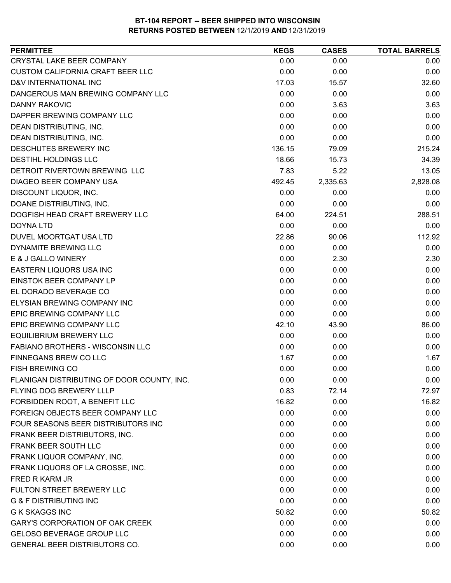| <b>PERMITTEE</b>                           | <b>KEGS</b> | <b>CASES</b> | <b>TOTAL BARRELS</b> |
|--------------------------------------------|-------------|--------------|----------------------|
| CRYSTAL LAKE BEER COMPANY                  | 0.00        | 0.00         | 0.00                 |
| <b>CUSTOM CALIFORNIA CRAFT BEER LLC</b>    | 0.00        | 0.00         | 0.00                 |
| D&V INTERNATIONAL INC                      | 17.03       | 15.57        | 32.60                |
| DANGEROUS MAN BREWING COMPANY LLC          | 0.00        | 0.00         | 0.00                 |
| <b>DANNY RAKOVIC</b>                       | 0.00        | 3.63         | 3.63                 |
| DAPPER BREWING COMPANY LLC                 | 0.00        | 0.00         | 0.00                 |
| DEAN DISTRIBUTING, INC.                    | 0.00        | 0.00         | 0.00                 |
| <b>DEAN DISTRIBUTING, INC.</b>             | 0.00        | 0.00         | 0.00                 |
| DESCHUTES BREWERY INC                      | 136.15      | 79.09        | 215.24               |
| DESTIHL HOLDINGS LLC                       | 18.66       | 15.73        | 34.39                |
| DETROIT RIVERTOWN BREWING LLC              | 7.83        | 5.22         | 13.05                |
| DIAGEO BEER COMPANY USA                    | 492.45      | 2,335.63     | 2,828.08             |
| DISCOUNT LIQUOR, INC.                      | 0.00        | 0.00         | 0.00                 |
| DOANE DISTRIBUTING, INC.                   | 0.00        | 0.00         | 0.00                 |
| DOGFISH HEAD CRAFT BREWERY LLC             | 64.00       | 224.51       | 288.51               |
| <b>DOYNA LTD</b>                           | 0.00        | 0.00         | 0.00                 |
| DUVEL MOORTGAT USA LTD                     | 22.86       | 90.06        | 112.92               |
| <b>DYNAMITE BREWING LLC</b>                | 0.00        | 0.00         | 0.00                 |
| E & J GALLO WINERY                         | 0.00        | 2.30         | 2.30                 |
| <b>EASTERN LIQUORS USA INC</b>             | 0.00        | 0.00         | 0.00                 |
| EINSTOK BEER COMPANY LP                    | 0.00        | 0.00         | 0.00                 |
| EL DORADO BEVERAGE CO                      | 0.00        | 0.00         | 0.00                 |
| ELYSIAN BREWING COMPANY INC                | 0.00        | 0.00         | 0.00                 |
| EPIC BREWING COMPANY LLC                   | 0.00        | 0.00         | 0.00                 |
| EPIC BREWING COMPANY LLC                   | 42.10       | 43.90        | 86.00                |
| <b>EQUILIBRIUM BREWERY LLC</b>             | 0.00        | 0.00         | 0.00                 |
| <b>FABIANO BROTHERS - WISCONSIN LLC</b>    | 0.00        | 0.00         | 0.00                 |
| <b>FINNEGANS BREW CO LLC</b>               | 1.67        | 0.00         | 1.67                 |
| <b>FISH BREWING CO</b>                     | 0.00        | 0.00         | 0.00                 |
| FLANIGAN DISTRIBUTING OF DOOR COUNTY, INC. | 0.00        | 0.00         | 0.00                 |
| FLYING DOG BREWERY LLLP                    | 0.83        | 72.14        | 72.97                |
| FORBIDDEN ROOT, A BENEFIT LLC              | 16.82       | 0.00         | 16.82                |
| FOREIGN OBJECTS BEER COMPANY LLC           | 0.00        | 0.00         | 0.00                 |
| FOUR SEASONS BEER DISTRIBUTORS INC         | 0.00        | 0.00         | 0.00                 |
| FRANK BEER DISTRIBUTORS, INC.              | 0.00        | 0.00         | 0.00                 |
| FRANK BEER SOUTH LLC                       | 0.00        | 0.00         | 0.00                 |
| FRANK LIQUOR COMPANY, INC.                 | 0.00        | 0.00         | 0.00                 |
| FRANK LIQUORS OF LA CROSSE, INC.           | 0.00        | 0.00         | 0.00                 |
| FRED R KARM JR                             | 0.00        | 0.00         | 0.00                 |
| FULTON STREET BREWERY LLC                  | 0.00        | 0.00         | 0.00                 |
| <b>G &amp; F DISTRIBUTING INC</b>          | 0.00        | 0.00         | 0.00                 |
| <b>G K SKAGGS INC</b>                      | 50.82       | 0.00         | 50.82                |
| <b>GARY'S CORPORATION OF OAK CREEK</b>     | 0.00        | 0.00         | 0.00                 |
| <b>GELOSO BEVERAGE GROUP LLC</b>           | 0.00        | 0.00         | 0.00                 |
| GENERAL BEER DISTRIBUTORS CO.              | 0.00        | 0.00         | 0.00                 |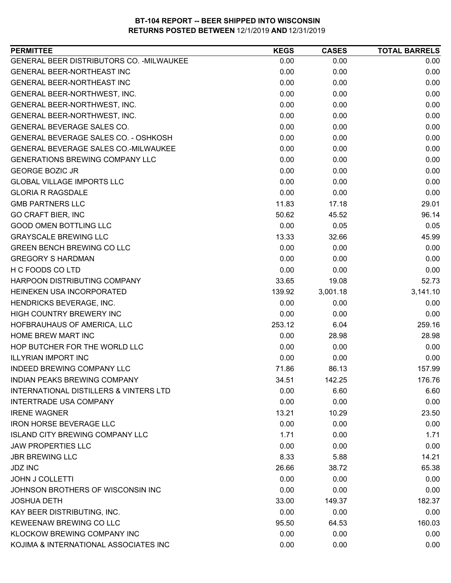| <b>PERMITTEE</b>                            | <b>KEGS</b> | <b>CASES</b> | <b>TOTAL BARRELS</b> |
|---------------------------------------------|-------------|--------------|----------------------|
| GENERAL BEER DISTRIBUTORS CO. - MILWAUKEE   | 0.00        | 0.00         | 0.00                 |
| <b>GENERAL BEER-NORTHEAST INC</b>           | 0.00        | 0.00         | 0.00                 |
| <b>GENERAL BEER-NORTHEAST INC</b>           | 0.00        | 0.00         | 0.00                 |
| GENERAL BEER-NORTHWEST, INC.                | 0.00        | 0.00         | 0.00                 |
| GENERAL BEER-NORTHWEST, INC.                | 0.00        | 0.00         | 0.00                 |
| GENERAL BEER-NORTHWEST, INC.                | 0.00        | 0.00         | 0.00                 |
| <b>GENERAL BEVERAGE SALES CO.</b>           | 0.00        | 0.00         | 0.00                 |
| GENERAL BEVERAGE SALES CO. - OSHKOSH        | 0.00        | 0.00         | 0.00                 |
| <b>GENERAL BEVERAGE SALES CO.-MILWAUKEE</b> | 0.00        | 0.00         | 0.00                 |
| <b>GENERATIONS BREWING COMPANY LLC</b>      | 0.00        | 0.00         | 0.00                 |
| <b>GEORGE BOZIC JR</b>                      | 0.00        | 0.00         | 0.00                 |
| <b>GLOBAL VILLAGE IMPORTS LLC</b>           | 0.00        | 0.00         | 0.00                 |
| <b>GLORIA R RAGSDALE</b>                    | 0.00        | 0.00         | 0.00                 |
| <b>GMB PARTNERS LLC</b>                     | 11.83       | 17.18        | 29.01                |
| <b>GO CRAFT BIER, INC</b>                   | 50.62       | 45.52        | 96.14                |
| <b>GOOD OMEN BOTTLING LLC</b>               | 0.00        | 0.05         | 0.05                 |
| <b>GRAYSCALE BREWING LLC</b>                | 13.33       | 32.66        | 45.99                |
| <b>GREEN BENCH BREWING CO LLC</b>           | 0.00        | 0.00         | 0.00                 |
| <b>GREGORY S HARDMAN</b>                    | 0.00        | 0.00         | 0.00                 |
| H C FOODS CO LTD                            | 0.00        | 0.00         | 0.00                 |
| HARPOON DISTRIBUTING COMPANY                | 33.65       | 19.08        | 52.73                |
| HEINEKEN USA INCORPORATED                   | 139.92      | 3,001.18     | 3,141.10             |
| HENDRICKS BEVERAGE, INC.                    | 0.00        | 0.00         | 0.00                 |
| HIGH COUNTRY BREWERY INC                    | 0.00        | 0.00         | 0.00                 |
| HOFBRAUHAUS OF AMERICA, LLC                 | 253.12      | 6.04         | 259.16               |
| <b>HOME BREW MART INC</b>                   | 0.00        | 28.98        | 28.98                |
| HOP BUTCHER FOR THE WORLD LLC               | 0.00        | 0.00         | 0.00                 |
| <b>ILLYRIAN IMPORT INC</b>                  | 0.00        | 0.00         | 0.00                 |
| INDEED BREWING COMPANY LLC                  | 71.86       | 86.13        | 157.99               |
| <b>INDIAN PEAKS BREWING COMPANY</b>         | 34.51       | 142.25       | 176.76               |
| INTERNATIONAL DISTILLERS & VINTERS LTD      | 0.00        | 6.60         | 6.60                 |
| <b>INTERTRADE USA COMPANY</b>               | 0.00        | 0.00         | 0.00                 |
| <b>IRENE WAGNER</b>                         | 13.21       | 10.29        | 23.50                |
| <b>IRON HORSE BEVERAGE LLC</b>              | 0.00        | 0.00         | 0.00                 |
| <b>ISLAND CITY BREWING COMPANY LLC</b>      | 1.71        | 0.00         | 1.71                 |
| <b>JAW PROPERTIES LLC</b>                   | 0.00        | 0.00         | 0.00                 |
| <b>JBR BREWING LLC</b>                      | 8.33        | 5.88         | 14.21                |
| <b>JDZ INC</b>                              | 26.66       | 38.72        | 65.38                |
| <b>JOHN J COLLETTI</b>                      | 0.00        | 0.00         | 0.00                 |
| JOHNSON BROTHERS OF WISCONSIN INC           | 0.00        | 0.00         | 0.00                 |
| <b>JOSHUA DETH</b>                          | 33.00       | 149.37       | 182.37               |
| KAY BEER DISTRIBUTING, INC.                 | 0.00        | 0.00         | 0.00                 |
| KEWEENAW BREWING CO LLC                     | 95.50       | 64.53        | 160.03               |
| KLOCKOW BREWING COMPANY INC                 | 0.00        | 0.00         | 0.00                 |
| KOJIMA & INTERNATIONAL ASSOCIATES INC       | 0.00        | 0.00         | 0.00                 |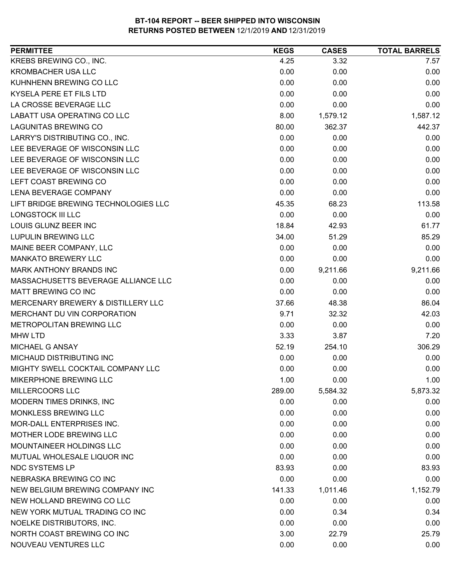| <b>PERMITTEE</b>                     | <b>KEGS</b> | <b>CASES</b> | <b>TOTAL BARRELS</b> |
|--------------------------------------|-------------|--------------|----------------------|
| KREBS BREWING CO., INC.              | 4.25        | 3.32         | 7.57                 |
| <b>KROMBACHER USA LLC</b>            | 0.00        | 0.00         | 0.00                 |
| KUHNHENN BREWING CO LLC              | 0.00        | 0.00         | 0.00                 |
| <b>KYSELA PERE ET FILS LTD</b>       | 0.00        | 0.00         | 0.00                 |
| LA CROSSE BEVERAGE LLC               | 0.00        | 0.00         | 0.00                 |
| LABATT USA OPERATING CO LLC          | 8.00        | 1,579.12     | 1,587.12             |
| <b>LAGUNITAS BREWING CO</b>          | 80.00       | 362.37       | 442.37               |
| LARRY'S DISTRIBUTING CO., INC.       | 0.00        | 0.00         | 0.00                 |
| LEE BEVERAGE OF WISCONSIN LLC        | 0.00        | 0.00         | 0.00                 |
| LEE BEVERAGE OF WISCONSIN LLC        | 0.00        | 0.00         | 0.00                 |
| LEE BEVERAGE OF WISCONSIN LLC        | 0.00        | 0.00         | 0.00                 |
| LEFT COAST BREWING CO                | 0.00        | 0.00         | 0.00                 |
| <b>LENA BEVERAGE COMPANY</b>         | 0.00        | 0.00         | 0.00                 |
| LIFT BRIDGE BREWING TECHNOLOGIES LLC | 45.35       | 68.23        | 113.58               |
| <b>LONGSTOCK III LLC</b>             | 0.00        | 0.00         | 0.00                 |
| <b>LOUIS GLUNZ BEER INC</b>          | 18.84       | 42.93        | 61.77                |
| <b>LUPULIN BREWING LLC</b>           | 34.00       | 51.29        | 85.29                |
| MAINE BEER COMPANY, LLC              | 0.00        | 0.00         | 0.00                 |
| <b>MANKATO BREWERY LLC</b>           | 0.00        | 0.00         | 0.00                 |
| MARK ANTHONY BRANDS INC              | 0.00        | 9,211.66     | 9,211.66             |
| MASSACHUSETTS BEVERAGE ALLIANCE LLC  | 0.00        | 0.00         | 0.00                 |
| MATT BREWING CO INC                  | 0.00        | 0.00         | 0.00                 |
| MERCENARY BREWERY & DISTILLERY LLC   | 37.66       | 48.38        | 86.04                |
| MERCHANT DU VIN CORPORATION          | 9.71        | 32.32        | 42.03                |
| METROPOLITAN BREWING LLC             | 0.00        | 0.00         | 0.00                 |
| <b>MHW LTD</b>                       | 3.33        | 3.87         | 7.20                 |
| MICHAEL G ANSAY                      | 52.19       | 254.10       | 306.29               |
| MICHAUD DISTRIBUTING INC             | 0.00        | 0.00         | 0.00                 |
| MIGHTY SWELL COCKTAIL COMPANY LLC    | 0.00        | 0.00         | 0.00                 |
| MIKERPHONE BREWING LLC               | 1.00        | 0.00         | 1.00                 |
| MILLERCOORS LLC                      | 289.00      | 5,584.32     | 5,873.32             |
| MODERN TIMES DRINKS, INC             | 0.00        | 0.00         | 0.00                 |
| MONKLESS BREWING LLC                 | 0.00        | 0.00         | 0.00                 |
| <b>MOR-DALL ENTERPRISES INC.</b>     | 0.00        | 0.00         | 0.00                 |
| MOTHER LODE BREWING LLC              | 0.00        | 0.00         | 0.00                 |
| <b>MOUNTAINEER HOLDINGS LLC</b>      | 0.00        | 0.00         | 0.00                 |
| MUTUAL WHOLESALE LIQUOR INC          | 0.00        | 0.00         | 0.00                 |
| <b>NDC SYSTEMS LP</b>                | 83.93       | 0.00         | 83.93                |
| NEBRASKA BREWING CO INC              | 0.00        | 0.00         | 0.00                 |
| NEW BELGIUM BREWING COMPANY INC      | 141.33      | 1,011.46     | 1,152.79             |
| NEW HOLLAND BREWING CO LLC           | 0.00        | 0.00         | 0.00                 |
| NEW YORK MUTUAL TRADING CO INC       | 0.00        | 0.34         | 0.34                 |
| NOELKE DISTRIBUTORS, INC.            | 0.00        | 0.00         | 0.00                 |
| NORTH COAST BREWING CO INC           | 3.00        | 22.79        | 25.79                |
| NOUVEAU VENTURES LLC                 | 0.00        | 0.00         | 0.00                 |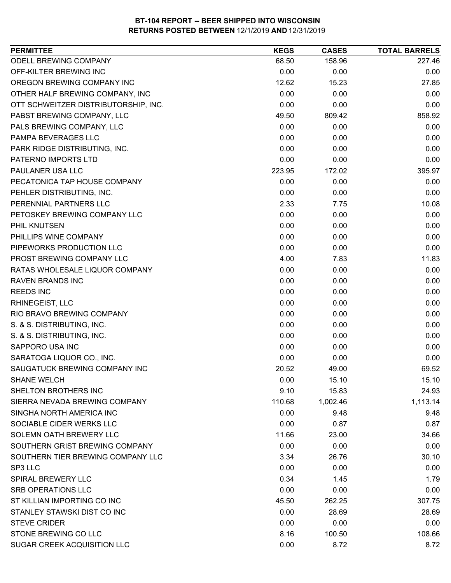| <b>PERMITTEE</b>                     | <b>KEGS</b> | <b>CASES</b> | <b>TOTAL BARRELS</b> |
|--------------------------------------|-------------|--------------|----------------------|
| ODELL BREWING COMPANY                | 68.50       | 158.96       | 227.46               |
| OFF-KILTER BREWING INC               | 0.00        | 0.00         | 0.00                 |
| OREGON BREWING COMPANY INC           | 12.62       | 15.23        | 27.85                |
| OTHER HALF BREWING COMPANY, INC      | 0.00        | 0.00         | 0.00                 |
| OTT SCHWEITZER DISTRIBUTORSHIP, INC. | 0.00        | 0.00         | 0.00                 |
| PABST BREWING COMPANY, LLC           | 49.50       | 809.42       | 858.92               |
| PALS BREWING COMPANY, LLC            | 0.00        | 0.00         | 0.00                 |
| PAMPA BEVERAGES LLC                  | 0.00        | 0.00         | 0.00                 |
| PARK RIDGE DISTRIBUTING, INC.        | 0.00        | 0.00         | 0.00                 |
| PATERNO IMPORTS LTD                  | 0.00        | 0.00         | 0.00                 |
| PAULANER USA LLC                     | 223.95      | 172.02       | 395.97               |
| PECATONICA TAP HOUSE COMPANY         | 0.00        | 0.00         | 0.00                 |
| PEHLER DISTRIBUTING, INC.            | 0.00        | 0.00         | 0.00                 |
| PERENNIAL PARTNERS LLC               | 2.33        | 7.75         | 10.08                |
| PETOSKEY BREWING COMPANY LLC         | 0.00        | 0.00         | 0.00                 |
| PHIL KNUTSEN                         | 0.00        | 0.00         | 0.00                 |
| PHILLIPS WINE COMPANY                | 0.00        | 0.00         | 0.00                 |
| PIPEWORKS PRODUCTION LLC             | 0.00        | 0.00         | 0.00                 |
| PROST BREWING COMPANY LLC            | 4.00        | 7.83         | 11.83                |
| RATAS WHOLESALE LIQUOR COMPANY       | 0.00        | 0.00         | 0.00                 |
| <b>RAVEN BRANDS INC</b>              | 0.00        | 0.00         | 0.00                 |
| <b>REEDS INC</b>                     | 0.00        | 0.00         | 0.00                 |
| RHINEGEIST, LLC                      | 0.00        | 0.00         | 0.00                 |
| RIO BRAVO BREWING COMPANY            | 0.00        | 0.00         | 0.00                 |
| S. & S. DISTRIBUTING, INC.           | 0.00        | 0.00         | 0.00                 |
| S. & S. DISTRIBUTING, INC.           | 0.00        | 0.00         | 0.00                 |
| SAPPORO USA INC                      | 0.00        | 0.00         | 0.00                 |
| SARATOGA LIQUOR CO., INC.            | 0.00        | 0.00         | 0.00                 |
| SAUGATUCK BREWING COMPANY INC        | 20.52       | 49.00        | 69.52                |
| <b>SHANE WELCH</b>                   | 0.00        | 15.10        | 15.10                |
| SHELTON BROTHERS INC                 | 9.10        | 15.83        | 24.93                |
| SIERRA NEVADA BREWING COMPANY        | 110.68      | 1,002.46     | 1,113.14             |
| SINGHA NORTH AMERICA INC             | 0.00        | 9.48         | 9.48                 |
| SOCIABLE CIDER WERKS LLC             | 0.00        | 0.87         | 0.87                 |
| SOLEMN OATH BREWERY LLC              | 11.66       | 23.00        | 34.66                |
| SOUTHERN GRIST BREWING COMPANY       | 0.00        | 0.00         | 0.00                 |
| SOUTHERN TIER BREWING COMPANY LLC    | 3.34        | 26.76        | 30.10                |
| SP3 LLC                              | 0.00        | 0.00         | 0.00                 |
| <b>SPIRAL BREWERY LLC</b>            | 0.34        | 1.45         | 1.79                 |
| <b>SRB OPERATIONS LLC</b>            | 0.00        | 0.00         | 0.00                 |
| ST KILLIAN IMPORTING CO INC          | 45.50       | 262.25       | 307.75               |
| STANLEY STAWSKI DIST CO INC          | 0.00        | 28.69        | 28.69                |
| <b>STEVE CRIDER</b>                  | 0.00        | 0.00         | 0.00                 |
| STONE BREWING CO LLC                 | 8.16        | 100.50       | 108.66               |
| SUGAR CREEK ACQUISITION LLC          | 0.00        | 8.72         | 8.72                 |